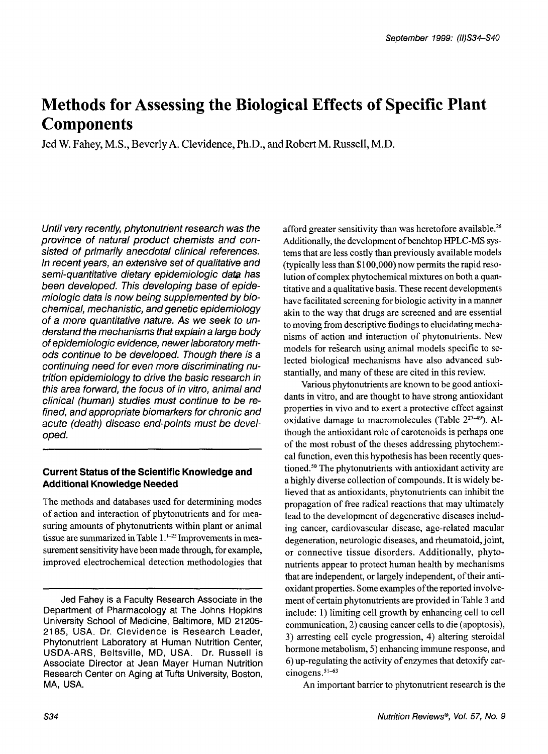# **Methods for Assessing the Biological Effects of Specific Plant Components**

Jed W. Fahey, M.S., Beverly A. Clevidence, Ph.D., and Robert M. Russell, M.D.

*Until very recently, phyfonutrient research was the province of natural product chemists and consisted of primarily anecdotal clinical references. In recent years, an extensive set of qualitative and semi-quantitative dietary epidemiologic data has been developed. This developing base of epidemiologic data is now being supplemented by biochemical, mechanistic, and genetic epidemiology of a more quantitative nature. As we seek to understand the mechanisms that explain a large body of epidemiologic evidence, newer laboratory methods continue to be developed. Though there is a continuing need for even more discriminating nutrition epidemiology to drive the basic research in this area forward, the focus of in vitro, animal and clinical (human) studies must continue to be refined, and appropriate biomarkers for chronic and acute (death) disease end-points must be developed.* 

# **Current Status of the Scientific Knowledge and Additional Knowledge Needed**

The methods and databases used for determining modes of action and interaction of phytonutrients and for measuring amounts of phytonutrients within plant or animal tissue are summarized in Table  $1.^{1-25}$  Improvements in measurement sensitivity have been made through, for example, improved electrochemical detection methodologies that afford greater sensitivity than was heretofore available.<sup>26</sup> Additionally, the development of benchtop HPLC-MS systems that are less costly than previously available models (typically less than \$1 00,000) now permits the rapid resolution of complex phytochemical mixtures on both a quantitative and a qualitative basis. These recent developments have facilitated screening for biologic activity in a manner akin to the way that drugs are screened and are essential to moving from descriptive findings to elucidating mechanisms of action and interaction of phytonutrients. New models for research using animal models specific to selected biological mechanisms have also advanced substantially, and many of these are cited in this review.

Various phytonutrients are known to be good antioxidants in vitro, and are thought to have strong antioxidant properties in vivo and to exert a protective effect against oxidative damage to macromolecules (Table **22749).** Although the antioxidant role of carotenoids is perhaps one of the most robust of the theses addressing phytochemical function, even this hypothesis has been recently questioned.<sup>50</sup> The phytonutrients with antioxidant activity are a highly diverse collection of compounds. It is widely believed that as antioxidants, phytonutrients can inhibit the propagation of free radical reactions that may ultimately lead to the development of degenerative diseases including cancer, cardiovascular disease, age-related macular degeneration, neurologic diseases, and rheumatoid, joint, or connective tissue disorders. Additionally, phytonutrients appear to protect human health by mechanisms that are independent, or largely independent, of their antioxidant properties. Some examples of the reported involvement of certain phytonutrients are provided in Table 3 and include: 1) limiting cell growth by enhancing cell to cell communication, 2) causing cancer cells to die (apoptosis), 3) arresting cell cycle progression, 4) altering steroidal hormone metabolism, 5) enhancing immune response, and *6)* up-regulating the activity of enzymes that detoxify carcinogens.<sup>51-63</sup>

An important barrier to phytonutrient research is the

Jed Fahey is a Faculty Research Associate in the Department *of* Pharmacology at The Johns Hopkins University School *of* Medicine, Baltimore, MD 21 205- 2185, USA. Dr. Clevidence is Research Leader, Phytonutrient Laboratory at Human Nutrition Center, USDA-ARS, Beltsville, MD, USA. Dr. Russell is Associate Director at Jean Mayer Human Nutrition Research Center on Aging at Tufts University, Boston, MA, USA.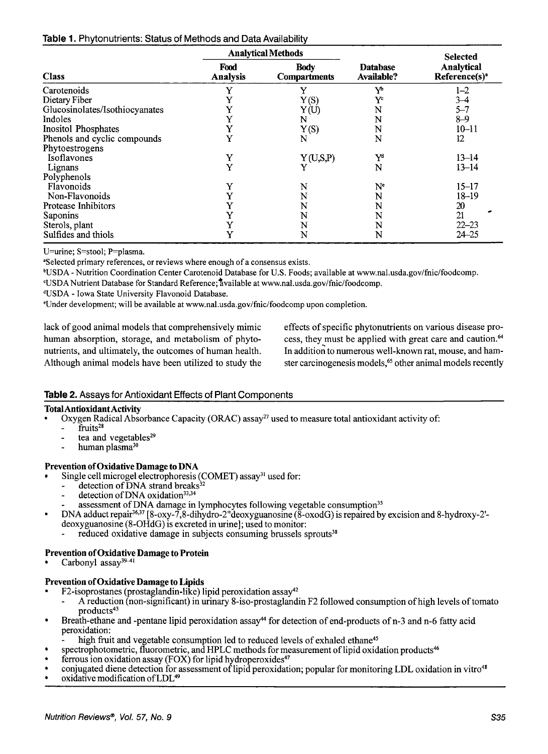|  | Table 1. Phytonutrients: Status of Methods and Data Availability |  |  |  |  |
|--|------------------------------------------------------------------|--|--|--|--|
|--|------------------------------------------------------------------|--|--|--|--|

|                                |                         | <b>Analytical Methods</b>          |                               | <b>Selected</b>                         |
|--------------------------------|-------------------------|------------------------------------|-------------------------------|-----------------------------------------|
| <b>Class</b>                   | Food<br><b>Analysis</b> | <b>Body</b><br><b>Compartments</b> | <b>Database</b><br>Available? | Analytical<br>Reference(s) <sup>a</sup> |
| Carotenoids                    | Y                       | Y                                  | Yb                            | $1 - 2$                                 |
| Dietary Fiber                  | Y                       | Y(S)                               | Y¢                            | $3 - 4$                                 |
| Glucosinolates/Isothiocyanates | Y                       | Y(U)                               | N                             | $5 - 7$                                 |
| Indoles                        | Y                       | N                                  | N                             | 8–9                                     |
| <b>Inositol Phosphates</b>     | Y                       | Y(S)                               | N                             | $10 - 11$                               |
| Phenols and cyclic compounds   | Y                       | N                                  | N                             | 12                                      |
| Phytoestrogens                 |                         |                                    |                               |                                         |
| Isoflavones                    | Y                       | Y(U,S,P)                           | Y                             | $13 - 14$                               |
| Lignans                        | Y                       | Y                                  | N                             | $13 - 14$                               |
| Polyphenols                    |                         |                                    |                               |                                         |
| Flavonoids                     | Y                       | N                                  | $\bf N^e$                     | $15 - 17$                               |
| Non-Flavonoids                 | Y                       | N                                  | N                             | $18 - 19$                               |
| Protease Inhibitors            | Y                       | N                                  | N                             | 20                                      |
| <b>Saponins</b>                | Y                       | N                                  | N                             | 21                                      |
| Sterols, plant                 | Y                       | N                                  | N                             | $22 - 23$                               |
| Sulfides and thiols            | Y                       | N                                  | N                             | 24–25                                   |

U=urine; S=stool; P=plasma.

"Selected primary references, or reviews where enough of a consensus exists.

bUSDA - Nutrition Coordination Center Carotenoid Database for U.S. Foods; available at **www.nal.usda.gov/fnic/foodcomp.** 

"USDA Nutrient Database for Standard Reference;%vailable at **www.nal.usda.gov/fnic/foodcomp.** 

dUSDA - Iowa State University Flavonoid Database.

'Under development; will be available at **www.nal.usda.gov/fnic/foodcomp** upon completion.

lack of good animal models that comprehensively mimic human absorption, storage, and metabolism of phytonutrients, and ultimately, the outcomes of human health. Although animal models have been utilized to study the effects of specific phytonutrients on various disease process, they must be applied with great care and caution.<sup>64</sup> In addition to numerous well-known rat, mouse, and hamster carcinogenesis models,<sup>65</sup> other animal models recently

# **Table 2.** Assays for Antioxidant Effects of Plant Components

#### **Total Antioxidant Activity**

- Oxygen Radical Absorbance Capacity (ORAC) assay<sup>27</sup> used to measure total antioxidant activity of:
- fruits<sup>28</sup>
- tea and vegetables<sup>29</sup>
- human plasma<sup>30</sup>

#### **Prevention of Oxidative Damage to DNA**

- Single cell microgel electrophoresis (COMET) assay<sup>31</sup> used for:
	- detection of DNA strand breaks<sup>32</sup><br>detection of DNA oxidation<sup>33,34</sup>
	-
	- detection of DNA oxidation<sup>33,34</sup><br>- assessment of DNA damage in lymphocytes following vegetable consumption<sup>35</sup>
- DNA adduct repair<sup>36,37</sup> [8-oxy-7,8-dihydro-2"deoxyguanosine  $(\overline{8}\text{-}oxodG)$  is repaired by excision and 8-hydroxy-2'deoxyguanosine (8-OHdG) is excreted in urine]; used to monitor:
	- reduced oxidative damage in subjects consuming brussels sprouts<sup>38</sup>

#### **Prevention of Oxidative Damage to Protein**

Carbonyl assay<sup>39-41</sup>

#### **Prevention of Oxidative Damage to Lipids**

- F2-isoprostanes (prostaglandin-like) lipid peroxidation assay<sup>42</sup>
- A reduction (non-significant) in urinary 8-iso-prostaglandin F2 followed consumption of high levels of tomato products<sup>43</sup>
- Breath-ethane and -pentane lipid peroxidation assay<sup>44</sup> for detection of end-products of n-3 and n-6 fatty acid peroxidation:
	- $\ddot{\cdot}$ high fruit and vegetable consumption led to reduced levels of exhaled ethane<sup>45</sup>
- spectrophotometric, fluorometric, and HPLC methods for measurement of lipid oxidation products<sup>46</sup>
- ferrous ion oxidation assay (FOX) for lipid hydroperoxides $47$
- conjugated diene detection for assessment of lipid peroxidation; popular for monitoring LDL oxidation in vitro<sup>48</sup>
- oxidative modification of LDL49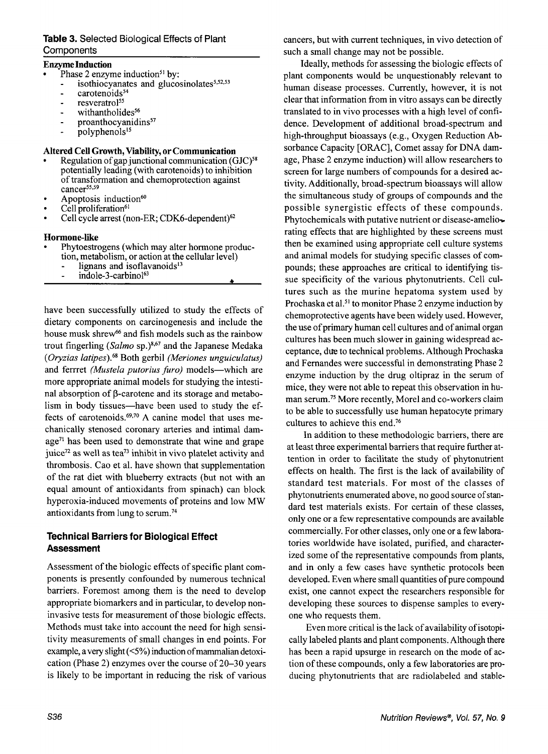# **Table 3.** Selected Biological Effects of Plant **Components**

#### **Enzyme Induction**

- Phase 2 enzyme induction<sup>51</sup> by:
	- isothiocyanates and glucosinolates<sup>5,52,53</sup>
	- $carotenoids<sup>54</sup>$
	- resveratrol<sup>55</sup>
	- withantholides<sup>56</sup>
	- proanthocyanidins $57$
	- $\cdot$  polyphenols<sup>15</sup>

#### **Altered Cell Growth, Viability, or Communication**

- Regulation of gap junctional communication (GJC)<sup>58</sup> potentially leading (with carotenoids) to inhibition of transformation and chemoprotection against cancer<sup>55,59</sup>
- Apoptosis induction<sup>60</sup>
- Cell proliferation<sup>61</sup>
- Cell cycle arrest (non-ER; CDK6-dependent) $62$

#### **Hormone-like**

- Phytoestrogens (which may alter hormone production, metabolism, or action at the cellular level)
	- lignans and isoflavanoids<sup>13</sup>
	- indole-3-carbinol63

have been successfully utilized to study the effects of dietary components on carcinogenesis and include the house musk shrew<sup>66</sup> and fish models such as the rainbow trout fingerling *(Salmo sp.)<sup>8,67</sup>* and the Japanese Medaka *(Oryzias latipes).68* Both gerbil *(Meriones unguiculatus)*  and ferrret *(Mustela putorius furo)* models-which are more appropriate animal models for studying the intestinal absorption of  $\beta$ -carotene and its storage and metabolism in body tissues—have been used to study the effects of carotenoids.<sup> $69,70$ </sup> A canine model that uses mechanically stenosed coronary arteries and intimal dam $age<sup>71</sup>$  has been used to demonstrate that wine and grape juice<sup>72</sup> as well as tea<sup>73</sup> inhibit in vivo platelet activity and thrombosis. Cao et al. have shown that supplementation of the rat diet with blueberry extracts (but not with an equal amount of antioxidants from spinach) can block hyperoxia-induced movements of proteins and low MW antioxidants from lung to serum.74

# **Technical Barriers for Biological Effect Assessment**

Assessment of the biologic effects of specific plant components is presently confounded by numerous technical barriers. Foremost among them is the need to develop appropriate biomarkers and in particular, to develop noninvasive tests for measurement of those biologic effects. Methods must take into account the need for high sensitivity measurements of small changes in end points. For example, a very slight *(<5%)* induction of mammalian detoxication (Phase 2) enzymes over the course of 20-30 years is likely to be important in reducing the risk of various cancers, but with current techniques, in vivo detection of such a small change may not be possible.

Ideally, methods for assessing the biologic effects of plant components would be unquestionably relevant to human disease processes. Currently, however, it is not clear that information from in vitro assays can be directly translated to in vivo processes with a high level of confidence. Development of additional broad-spectrum and high-throughput bioassays (e.g., Oxygen Reduction Absorbance Capacity [ORAC], Comet assay for DNA damage, Phase 2 enzyme induction) will allow researchers to screen for large numbers of compounds for a desired activity. Additionally, broad-spectrum bioassays will allow the simultaneous study of groups of compounds and the possible synergistic effects of these compounds. Phytochemicals with putative nutrient or disease-ameliorating effects that are highlighted by these screens must then be examined using appropriate cell culture systems and animal models for studying specific classes of compounds; these approaches are critical to identifying tissue specificity of the various phytonutrients. Cell cultures such as the murine hepatoma system used by Prochaska et al.<sup>51</sup> to monitor Phase 2 enzyme induction by chemoprotective agents have been widely used. However, the use of primary human cell cultures and of animal organ cultures has been much slower in gaining widespread acceptance, due to technical problems. Although Prochaska and Fernandes were successful in demonstrating Phase 2 enzyme induction by the drug oltipraz in the serum of mice, they were not able to repeat this observation in human serum.7s More recently, Morel and co-workers claim to be able to successfully use human hepatocyte primary cultures to achieve this end.76

In addition to these methodologic barriers, there are at least three experimental barriers that require further attention in order to facilitate the study of phytonutrient effects on health. The first is the lack of availability of standard test materials. For most of the classes of phytonutrients enumerated above, no good source of standard test materials exists. For certain of these classes, only one or a few representative compounds are available commercially. For other classes, only one or a few laboratories worldwide have isolated, purified, and characterized some of the representative compounds from plants, and in only a few cases have synthetic protocols been developed. Even where small quantities of pure compound exist, one cannot expect the researchers responsible for developing these sources to dispense samples to everyone who requests them.

Even more critical is the lack of availability of isotopically labeled plants and plant components. Although there has been a rapid upsurge in research on the mode of action of these compounds, only a few laboratories are producing phytonutrients that are radiolabeled and stable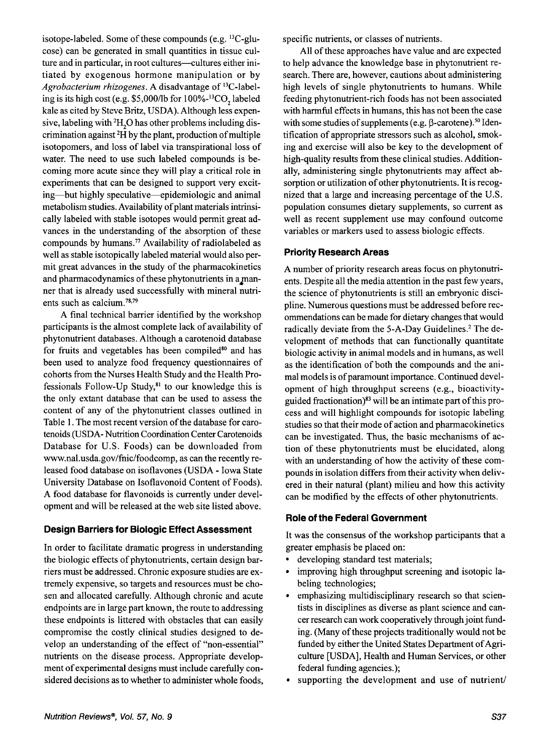isotope-labeled. Some of these compounds (e.g. 13C-glucose) can be generated in small quantities in tissue culture and in particular, in root cultures-cultures either initiated by exogenous hormone manipulation or by *Agrobacterium rhizogenes.* A disadvantage of 13C-labeling is its high cost (e.g. \$5,00O/lb for 1 OO%-13C0, labeled kale as cited by Steve Britz, USDA). Although less expensive, labeling with  ${}^{2}H_{n}O$  has other problems including discrimination against  ${}^{2}H$  by the plant, production of multiple isotopomers, and loss of label via transpirational loss of water. The need to use such labeled compounds is becoming more acute since they will play a critical role in experiments that can be designed to support very exciting-but highly speculative-epidemiologic and animal metabolism studies. Availability of plant materials intrinsically labeled with stable isotopes would permit great advances in the understanding of the absorption of these compounds by humans.77 Availability of radiolabeled as well as stable isotopically labeled material would also permit great advances in the study of the pharmacokinetics and pharmacodynamics of these phytonutrients in a manner that is already used successfully with mineral nutrients such as calcium. $78,79$ 

A final technical barrier identified by the workshop participants is the almost complete lack of availability of phytonutrient databases. Although a carotenoid database for fruits and vegetables has been compiled<sup>80</sup> and has been used to analyze food frequency questionnaires of cohorts from the Nurses Health Study and the Health Professionals Follow-Up Study, $81$  to our knowledge this is the only extant database that can be used to assess the content of any of the phytonutrient classes outlined in Table 1. The most recent version of the database for carotenoids (USDA- Nutrition Coordination Center Carotenoids Database for **U.S.** Foods) can be downloaded from www.nal.usda.gov/hic/foodcomp, as can the recently released food database on isoflavones (USDA - Iowa State University Database on Isoflavonoid Content of Foods). A food database for flavonoids is currently under development and will be released at the web site listed above.

## **Design Barriers for Biologic Effect Assessment**

In order to facilitate dramatic progress in understanding the biologic effects of phytonutrients, certain design barriers must be addressed. Chronic exposure studies are extremely expensive, so targets and resources must be chosen and allocated carefully. Although chronic and acute endpoints are in large part known, the route to addressing these endpoints is littered with obstacles that can easily compromise the costly clinical studies designed to develop an understanding of the effect of "non-essential" nutrients on the disease process. Appropriate development of experimental designs must include carefully considered decisions as to whether to administer whole foods, specific nutrients, or classes of nutrients.

All of these approaches have value and are expected to help advance the knowledge base in phytonutrient research. There are, however, cautions about administering high levels of single phytonutrients to humans. While feeding phytonutrient-rich foods has not been associated with harmful effects in humans, this has not been the case with some studies of supplements (e.g.  $\beta$ -carotene).<sup>50</sup> Identification of appropriate stressors such as alcohol, smoking and exercise will also be key to the development of high-quality results from these clinical studies. Additionally, administering single phytonutrients may affect absorption or utilization of other phytonutrients. It is recognized that a large and increasing percentage of the U.S. population consumes dietary supplements, so current as well as recent supplement use may confound outcome variables or markers used to assess biologic effects.

## **Priority Research Areas**

A number of priority research areas focus on phytonutrients. Despite all the media attention in the past few years, the science of phytonutrients is still an embryonic discipline. Numerous questions must be addressed before recommendations can be made for dietary changes that would radically deviate from the 5-A-Day Guidelines.<sup>2</sup> The development of methods that can functionally quantitate biologic activity in animal models and in humans, as well as the identification of both the compounds and the animal models is of paramount importance. Continued development of high throughput screens (e.g., bioactivityguided fractionation) $^{83}$  will be an intimate part of this process and will highlight compounds for isotopic labeling studies so that their mode of action and pharmacokinetics can be investigated. Thus, the basic mechanisms of action of these phytonutrients must be elucidated, along with an understanding of how the activity of these compounds in isolation differs from their activity when delivered in their natural (plant) milieu and how this activity can be modified by the effects of other phytonutrients.

# **Role of the Federal Government**

It was the consensus of the workshop participants that a greater emphasis be placed on:

- developing standard test materials;  $\bullet$
- improving high throughput screening and isotopic la- $\bullet$ beling technologies;
- emphasizing multidisciplinary research so that scientists in disciplines as diverse as plant science and cancer research can work cooperatively through joint funding. (Many of these projects traditionally would not be funded by either the United States Department of Agriculture [USDA], Health and Human Services, or other federal funding agencies.);
- supporting the development and use of nutrient/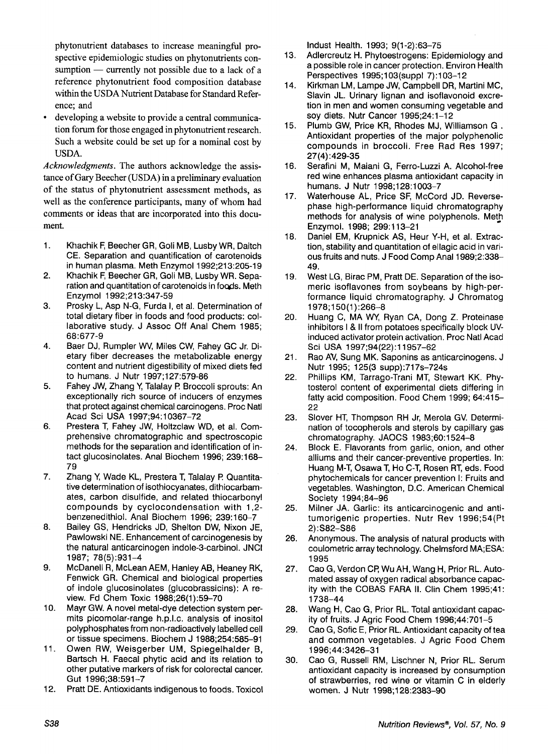phytonutrient databases to increase meaningful prospective epidemiologic studies on phytonutrients consumption  $-$  currently not possible due to a lack of a reference phytonutrient food composition database within the USDA Nutrient Database for Standard Reference; and

. developing a website to provide a central communication forum for those engaged in phytonutrient research. Such a website could be set up for a nominal cost by USDA.

*Acknowledgments.* The authors acknowledge the assistance of Gary Beecher (USDA) in a preliminary evaluation of the status of phytonutrient assessment methods, as well as the conference participants, many of whom had comments or ideas that are incorporated into this document.

- 1. Khachik F, Beecher GR, Goli MB, Lusby WR, Daitch CE. Separation and quantification of carotenoids in human plasma. Meth Enzymol 1992;213:205-19
- 2. Khachik F, Beecher GR, Goli MB, Lusby WR. Separation and quantitation of carotenoids in foods. Meth Enzymol 1992;213:347-59
- 3. Prosky L, Asp N-G, Furda I, et al. Determination of total dietary fiber in foods and food products: collaborative study. J Assoc Off Anal Chem 1985; 68:677-9
- 4. Baer DJ, Rumpler W, Miles CW, Fahey GC Jr. Dietary fiber decreases the metabolizable energy content and nutrient digestibility of mixed diets fed to humans. J Nutr 1997;127:579-86
- 5. Fahey JW, Zhang V, Talalay **I?** Broccoli sprouts: An exceptionally rich source of inducers of enzymes that protect against chemical carcinogens. Proc Natl Acad Sci USA 1997;94:10367-72
- 6. Prestera T, Fahey JW, Holtzclaw WD, et al. Comprehensive chromatographic and spectroscopic methods for the separation and identification of intact glucosinolates. Anal Biochem 1996; 239:168- 79
- 7. Zhang Y, Wade KL, Prestera T, Talalay P. Quantitative determination of isothiocyanates, dithiocarbamates, carbon disulfide, and related thiocarbonyl compounds by cyclocondensation with 1,2 benzenedithiol. Anal Biochem 1996; 239:160-7
- *8.*  Bailey GS, Hendricks JD, Shelton DW, Nixon JE, Pawlowski NE. Enhancement of carcinogenesis by the natural anticarcinogen indole-3-carbinol. JNCl 1987; 78(5):931-4
- 9. McDanell R, McLean AEM, Hanley AB, Heaney RK, Fenwick GR. Chemical and biological properties of indole glucosinolates (glucobrassicins): A review. **Fd** Chem Toxic 1988;26(1):59-70
- 10. Mayr GW. A novel metal-dye detection system permits picomolar-range h.p.1.c. analysis of inositol polyphosphates from non-radioactively labelled cell or tissue specimens. Biochem J 1988;254:585-91
- 11. Owen RW, Weisgerber UM, Spiegelhalder B, Bartsch H. Faecal phytic acid and its relation to other putative markers of risk for colorectal cancer. Gut 1996;38:591-7
- 12. Pratt DE. Antioxidants indigenous to foods. Toxicol

lndust Health. 1993; 9(1-2):63-75

- 13. Adlercreutz H. Phytoestrogens: Epidemiology and a possible role in cancer protection. Environ Health Perspectives 1995;103(suppl 7):103-I 2
- 14. Kirkman LM, Lampe JW, Campbell DR, Martini MC, Slavin JL. Urinary lignan and isoflavonoid excretion in men and women consuming vegetable and soy diets. Nutr Cancer 1995;24:1-12<br>Plumb GW, Price KR, Rhodes MJ, Williamson G.
- 15. Antioxidant properties of the major polyphenolic compounds in broccoli. Free Rad Res 1997; 27(4) :429-35
- 16. Serafini M, Maiani G, Ferro-Luzzi A. Alcohol-free red wine enhances plasma antioxidant capacity in humans. J Nutr 1998;128:1003-7
- 17. Waterhouse AL, Price SF, McCord JD. Reversephase high-performance liquid chromatography methods for analysis of wine polyphenols. Meth Enzymol. 1998; 299:113-21
- 18. Daniel EM, Krupnick AS, Heur Y-H, et al. Extraction, stability and quantitation of ellagic acid in various fruits and nuts. J Food Comp Anal 1989;2:338- 49.
- 19. West LG, Birac PM, Pratt DE. Separation of the isomeric isoflavones from soybeans by high-performance liquid chromatography. J Chromatog 1978: 150(1): 266-8
- 20. Huang C, MA WV, Ryan CA, Dong Z. Proteinase inhibitors I & II from potatoes specifically block UVinduced activator protein activation. Proc Natl Acad Sci USA 1997;94(22):11957-62
- 21. Rao AV, Sung MK. Saponins as anticarcinogens. J Nutr 1995; 125(3 supp): 717s-724s
- 22. Phillips KM, Tarrago-Trani MT, Stewart KK. Phytosterol content of experimental diets differing in fatty acid composition. Food Chem 1999; 64:415- 22
- 23. Slover HT, Thompson RH Jr, Merola GV. Determination of tocopherols and sterols by capillary gas chromatography. JAOCS 1983;60:1524-8
- 24. Block E. Flavorants from garlic, onion, and other alliums and their cancer-preventive properties. In: Huang M-T, Osawa T, Ho C-T, Rosen RT, eds. Food phytochemicals for cancer prevention I: Fruits and vegetables. Washington, D.C. American Chemical Society 1994;84-96
- 25. Milner JA. Garlic: its anticarcinogenic and antitumorigenic properties. Nutr Rev 1996;54(Pt 2) :S82-S86
- 26. Anonymous. The analysis of natural products with coulometric array technology. Chelmsford MA;ESA: 1995
- 27. Cao G, Verdon CR Wu AH, Wang H, Prior RL. Automated assay of oxygen radical absorbance capacity with the COBAS FARA II. Clin Chem 1995;41: 1738-44
- 28. Wang H, Cao G, Prior RL. Total antioxidant capacity of fruits. J Agric Food Chem 1996;44:701-5
- 29. Cao G, Sofic E, Prior RL. Antioxidant capacity of tea and common vegetables. J Agric Food Chem 1996;44:3426-31
- 30. Cao G, Russell RM, Lischner N, Prior RL. Serum antioxidant capacity is increased by consumption of strawberries, red wine or vitamin C in elderly women. J Nutr 1998;128:2383-90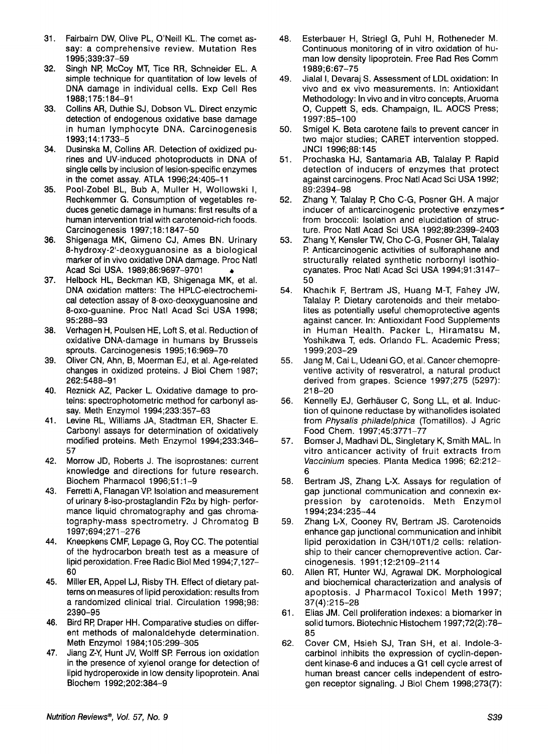- 31. Fairbairn DW, Olive PL, O'Neill KL. The comet assay: a comprehensive review. Mutation Res 1995;339:37-59
- 32. Singh NP: McCoy MT, Tice RR, Schneider EL. A simple technique for quantitation of low levels of DNA damage in individual cells. Exp Cell Res 1988;175:184-91
- 33. Collins AR, Duthie SJ, Dobson VL. Direct enzymic detection of endogenous oxidative base damage in human lymphocyte DNA. Carcinogenesis 1993;14:1733-5
- 34. Dusinska M, Collins AR. Detection of oxidized purines and UV-induced photoproducts in DNA of single cells by inclusion of lesion-specific enzymes in the comet assay. ATLA 1996;24:405-11
- 35. Pool-Zobel BL, Bub A, Muller H, Wollowski I, Rechkemmer G. Consumption of vegetables reduces genetic damage in humans: first results of a human intervention trial with carotenoid-rich foods. Carcinogenesis 1997;18:1847-50
- 36. Shigenaga MK, Gimeno CJ, Ames BN. Urinary 8-hydroxy-2'-deoxyguanosine as a biological marker of in vivo oxidative DNA damage. Proc Natl Acad Sci USA. 1989;86:9697-9701 **e**
- 37. Helbock HL, Beckman KB, Shigenaga MK, et al. DNA oxidation matters: The HPLC-electrochemical detection assay of 8-0x0-deoxyguanosine and 8-0x0-guanine. Proc Natl Acad Sci USA 1998; 95:288-93
- 38. Verhagen H, Poulsen HE, Loft *S,* et al. Reduction of oxidative DNA-damage in humans by Brussels sprouts. Carcinogenesis 1995;16:969-70
- 39. Oliver CN, Ahn, B, Moerman EJ, et al. Age-related changes in oxidized proteins. J Biol Chem 1987; 262 :5488-9 1
- 40. Reznick AZ, Packer L. Oxidative damage to proteins: spectrophotometric method for carbonyl assay. Meth Enzymol 1994;233:357-63
- 41. Levine RL, Williams JA, Stadtman ER, Shacter E. Carbonyl assays for determination of oxidatively modified proteins. Meth Enzymol 1994;233:346- 57
- 42. Morrow JD, Roberts J. The isoprostanes: current knowledge and directions for future research. Biochem Pharmacol 1996;51:1-9
- 43. Ferretti A, Flanagan VP. Isolation and measurement of urinary 8-iso-prostaglandin F2 $\alpha$  by high- performance liquid chromatography and gas chromatography-mass spectrometry. J Chromatog B 1997;694;271-276
- 44. Kneepkens CMF, Lepage G, Roy CC. The potential of the hydrocarbon breath test as a measure of lipid peroxidation. Free Radic Biol Med 1994;7,127- 60
- 45. Miller ER, Appel LJ, Risby TH. Effect of dietary patterns on measures of lipid peroxidation: results from a randomized clinical trial. Circulation 1998;98: 2390-95
- 46. Bird RP: Draper HH. Comparative studies on different methods of malonaldehyde determination. Meth Enzymol 1984;105:299-305
- 47. Jiang Z-Y, Hunt JV, Wolff SP. Ferrous ion oxidation in the presence of xylenol orange for detection of lipid hydroperoxide in low density lipoprotein. Anal Biochem 1992;202:384-9
- 48. Esterbauer H, Striegl G, Puhl H, Rotheneder M. Continuous monitoring of in vitro oxidation of human low density lipoprotein. Free Rad Res Comm 1989;6:67-75
- 49. Jialal I, Devaraj *S.* Assessment of LDL oxidation: In vivo and ex vivo measurements. In: Antioxidant Methodology: In vivo and in vitro concepts, Aruoma 0, Cuppett *S,* eds. Champaign, IL. AOCS Press; 1997:85-100
- 50. Smigel K. Beta carotene fails to prevent cancer in two major studies; CARET intervention stopped. JNCl 1996;88:145
- 51. Prochaska HJ, Santamaria AB, Talalay **I?** Rapid detection of inducers of enzymes that protect against carcinogens. Proc Natl Acad Sci USA 1992; 89:2394-98
- 52. Zhang V, Talalay **P,** Cho C-G, Posner GH. A major inducer of anticarcinogenic protective enzymes from broccoli: Isolation and elucidation of structure. Proc Natl Acad Sci USA 1992;89:2399-2403
- 53. Zhang V, Kensler TW, Cho C-G, Posner GH, Talalay P. Anticarcinogenic activities of sulforaphane and structurally related synthetic norbornyl isothiocyanates. Proc Natl Acad Sci USA 1994;91:3147- 50
- 54. Khachik F, Bertram JS, Huang M-T, Fahey JW, Talalay **l?** Dietary carotenoids and their metabolites as potentially useful chemoprotective agents against cancer. In: Antioxidant Food Supplements in Human Health. Packer L, Hiramatsu M, Yoshikawa T, eds. Orlando FL. Academic Press; 1999;203-29
- 55. Jang M, Cai L, Udeani GO, et al. Cancer chemopreventive activity of resveratrol, a natural product derived from grapes. Science 1997;275 (5297): 21 8-20
- 56. Kennelly EJ, Gerhäuser C, Song LL, et al. Induction of quinone reductase by withanolides isolated from *Physalis* philadelphica (Tomatillos). J Agric Food Chem. 1997;45:3771-77
- 57. Bomser J, Madhavi DL, Singletary K, Smith MAL. In vitro anticancer activity of fruit extracts from Vaccinium species. Planta Medica 1996; 62:212- 6
- 58. Bertram JS, Zhang L-X. Assays for regulation of gap junctional communication and connexin expression by carotenoids. Meth Enzymol 1 994; 234: 235-44
- 59. Zhang L-X, Cooney RV, Bertram JS. Carotenoids enhance gap junctional communication and inhibit lipid peroxidation in C3H/10T1/2 cells: relationship to their cancer chemopreventive action. Carcinogenesis. 1991 ;12:2109-2114
- 60. Allen RT, Hunter WJ, Agrawal DK. Morphological and biochemical characterization and analysis of apoptosis. J Pharmacol Toxicol Meth 1997; 37(4):215-28
- 61. Elias JM. Cell proliferation indexes: a biomarker in solid tumors. Biotechnic Histochem 1997;72(2):78- 85
- 62. Cover CM, Hsieh SJ, Tran SH, et al. Indole-3 carbinol inhibits the expression of cyclin-dependent kinase-6 and induces a G1 cell cycle arrest of human breast cancer cells independent of estrogen receptor signaling. J Biol Chem 1998;273(7):